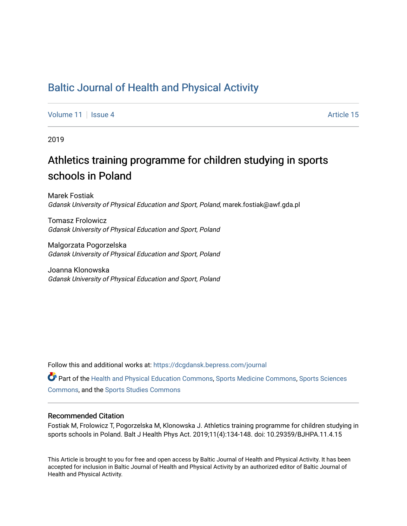# [Baltic Journal of Health and Physical Activity](https://dcgdansk.bepress.com/journal)

[Volume 11](https://dcgdansk.bepress.com/journal/vol11) | [Issue 4](https://dcgdansk.bepress.com/journal/vol11/iss4) Article 15

2019

# Athletics training programme for children studying in sports schools in Poland

Marek Fostiak Gdansk University of Physical Education and Sport, Poland, marek.fostiak@awf.gda.pl

Tomasz Frolowicz Gdansk University of Physical Education and Sport, Poland

Malgorzata Pogorzelska Gdansk University of Physical Education and Sport, Poland

Joanna Klonowska Gdansk University of Physical Education and Sport, Poland

Follow this and additional works at: [https://dcgdansk.bepress.com/journal](https://dcgdansk.bepress.com/journal?utm_source=dcgdansk.bepress.com%2Fjournal%2Fvol11%2Fiss4%2F15&utm_medium=PDF&utm_campaign=PDFCoverPages)

Part of the [Health and Physical Education Commons](http://network.bepress.com/hgg/discipline/1327?utm_source=dcgdansk.bepress.com%2Fjournal%2Fvol11%2Fiss4%2F15&utm_medium=PDF&utm_campaign=PDFCoverPages), [Sports Medicine Commons,](http://network.bepress.com/hgg/discipline/1331?utm_source=dcgdansk.bepress.com%2Fjournal%2Fvol11%2Fiss4%2F15&utm_medium=PDF&utm_campaign=PDFCoverPages) [Sports Sciences](http://network.bepress.com/hgg/discipline/759?utm_source=dcgdansk.bepress.com%2Fjournal%2Fvol11%2Fiss4%2F15&utm_medium=PDF&utm_campaign=PDFCoverPages) [Commons](http://network.bepress.com/hgg/discipline/759?utm_source=dcgdansk.bepress.com%2Fjournal%2Fvol11%2Fiss4%2F15&utm_medium=PDF&utm_campaign=PDFCoverPages), and the [Sports Studies Commons](http://network.bepress.com/hgg/discipline/1198?utm_source=dcgdansk.bepress.com%2Fjournal%2Fvol11%2Fiss4%2F15&utm_medium=PDF&utm_campaign=PDFCoverPages) 

# Recommended Citation

Fostiak M, Frolowicz T, Pogorzelska M, Klonowska J. Athletics training programme for children studying in sports schools in Poland. Balt J Health Phys Act. 2019;11(4):134-148. doi: 10.29359/BJHPA.11.4.15

This Article is brought to you for free and open access by Baltic Journal of Health and Physical Activity. It has been accepted for inclusion in Baltic Journal of Health and Physical Activity by an authorized editor of Baltic Journal of Health and Physical Activity.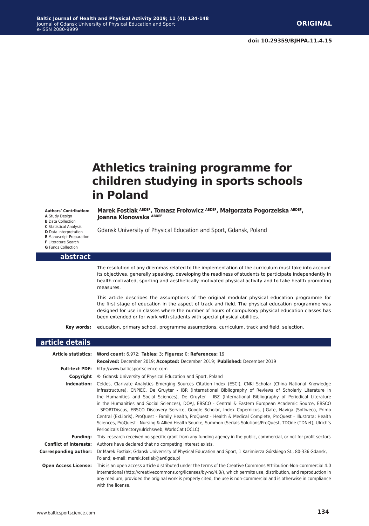# **Athletics training programme for children studying in sports schools in Poland**

#### **Authors' Contribution: A** Study Design

**B** Data Collection **C** Statistical Analysis **D** Data Interpretation **E** Manuscript Preparation **F** Literature Search

### **Marek Fostiak ABDEF, Tomasz Frołowicz ABDEF, Małgorzata Pogorzelska ABDEF, Joanna Klonowska ABDEF**

Gdansk University of Physical Education and Sport, Gdansk, Poland

# **G** Funds Collection

#### **abstract**

The resolution of any dilemmas related to the implementation of the curriculum must take into account its objectives, generally speaking, developing the readiness of students to participate independently in health-motivated, sporting and aesthetically-motivated physical activity and to take health promoting measures.

This article describes the assumptions of the original modular physical education programme for the first stage of education in the aspect of track and field. The physical education programme was designed for use in classes where the number of hours of compulsory physical education classes has been extended or for work with students with special physical abilities.

**Key words:** education, primary school, programme assumptions, curriculum, track and field, selection.

# **article details Article statistics: Word count:** 6,972; **Tables:** 3; **Figures:** 0; **References:** 19 **Received:** December 2019; **Accepted:** December 2019; **Published:** December 2019

|                               | Received: Deceniver 2013, Accepted: Deceniver 2013, <b>Fubilshed:</b> Deceniver 2013                                                                                                                                                                                                                                                                                                                                                                                                                                                                                                                                                                                                                                                                                                                                                                          |
|-------------------------------|---------------------------------------------------------------------------------------------------------------------------------------------------------------------------------------------------------------------------------------------------------------------------------------------------------------------------------------------------------------------------------------------------------------------------------------------------------------------------------------------------------------------------------------------------------------------------------------------------------------------------------------------------------------------------------------------------------------------------------------------------------------------------------------------------------------------------------------------------------------|
| <b>Full-text PDF:</b>         | http://www.balticsportscience.com                                                                                                                                                                                                                                                                                                                                                                                                                                                                                                                                                                                                                                                                                                                                                                                                                             |
| Copyright                     | © Gdansk University of Physical Education and Sport, Poland                                                                                                                                                                                                                                                                                                                                                                                                                                                                                                                                                                                                                                                                                                                                                                                                   |
| Indexation:                   | Celdes, Clarivate Analytics Emerging Sources Citation Index (ESCI), CNKI Scholar (China National Knowledge<br>Infrastructure), CNPIEC, De Gruyter - IBR (International Bibliography of Reviews of Scholarly Literature in<br>the Humanities and Social Sciences), De Gruyter - IBZ (International Bibliography of Periodical Literature<br>in the Humanities and Social Sciences), DOAJ, EBSCO - Central & Eastern European Academic Source, EBSCO<br>- SPORTDiscus, EBSCO Discovery Service, Google Scholar, Index Copernicus, J-Gate, Naviga (Softweco, Primo<br>Central (ExLibris), ProQuest - Family Health, ProQuest - Health & Medical Complete, ProQuest - Illustrata: Health<br>Sciences, ProQuest - Nursing & Allied Health Source, Summon (Serials Solutions/ProQuest, TDOne (TDNet), Ulrich's<br>Periodicals Directory/ulrichsweb, WorldCat (OCLC) |
| <b>Funding:</b>               | This research received no specific grant from any funding agency in the public, commercial, or not-for-profit sectors                                                                                                                                                                                                                                                                                                                                                                                                                                                                                                                                                                                                                                                                                                                                         |
| <b>Conflict of interests:</b> | Authors have declared that no competing interest exists.                                                                                                                                                                                                                                                                                                                                                                                                                                                                                                                                                                                                                                                                                                                                                                                                      |
| Corresponding author:         | Dr Marek Fostiak; Gdansk Univerrsity of Physical Education and Sport, 1 Kazimierza Górskiego St., 80-336 Gdansk,<br>Poland; e-mail: marek.fostiak@awf.gda.pl                                                                                                                                                                                                                                                                                                                                                                                                                                                                                                                                                                                                                                                                                                  |
| <b>Open Access License:</b>   | This is an open access article distributed under the terms of the Creative Commons Attribution-Non-commercial 4.0<br>International (http://creativecommons.org/licenses/by-nc/4.0/), which permits use, distribution, and reproduction in<br>any medium, provided the original work is properly cited, the use is non-commercial and is otherwise in compliance<br>with the license.                                                                                                                                                                                                                                                                                                                                                                                                                                                                          |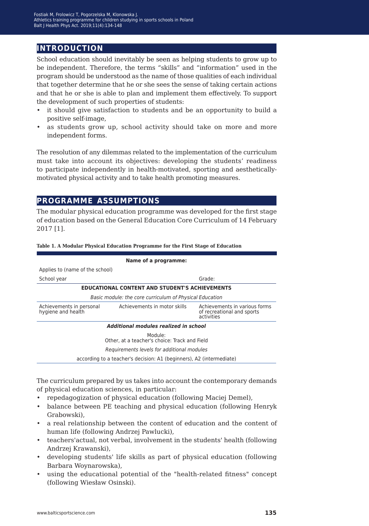# **introduction**

School education should inevitably be seen as helping students to grow up to be independent. Therefore, the terms "skills" and "information" used in the program should be understood as the name of those qualities of each individual that together determine that he or she sees the sense of taking certain actions and that he or she is able to plan and implement them effectively. To support the development of such properties of students:

- it should give satisfaction to students and be an opportunity to build a positive self-image,
- as students grow up, school activity should take on more and more independent forms.

The resolution of any dilemmas related to the implementation of the curriculum must take into account its objectives: developing the students' readiness to participate independently in health-motivated, sporting and aestheticallymotivated physical activity and to take health promoting measures.

# **programme assumptions**

The modular physical education programme was developed for the first stage of education based on the General Education Core Curriculum of 14 February 2017 [1].

| Name of a programme:                                     |                                                                      |                                                                           |  |  |  |
|----------------------------------------------------------|----------------------------------------------------------------------|---------------------------------------------------------------------------|--|--|--|
| Applies to (name of the school)                          |                                                                      |                                                                           |  |  |  |
| School year                                              |                                                                      | Grade:                                                                    |  |  |  |
| <b>EDUCATIONAL CONTENT AND STUDENT'S ACHIEVEMENTS</b>    |                                                                      |                                                                           |  |  |  |
| Basic module: the core curriculum of Physical Education  |                                                                      |                                                                           |  |  |  |
| Achievements in personal<br>hygiene and health           | Achievements in motor skills                                         | Achievements in various forms<br>of recreational and sports<br>activities |  |  |  |
|                                                          | Additional modules realized in school                                |                                                                           |  |  |  |
| Module:<br>Other, at a teacher's choice: Track and Field |                                                                      |                                                                           |  |  |  |
| Requirements levels for additional modules               |                                                                      |                                                                           |  |  |  |
|                                                          | according to a teacher's decision: A1 (beginners), A2 (intermediate) |                                                                           |  |  |  |

**Table 1. A Modular Physical Education Programme for the First Stage of Education**

The curriculum prepared by us takes into account the contemporary demands of physical education sciences, in particular:

- repedagogization of physical education (following Maciej Demel),
- balance between PE teaching and physical education (following Henryk Grabowski),
- a real relationship between the content of education and the content of human life (following Andrzej Pawlucki),
- teachers'actual, not verbal, involvement in the students' health (following Andrzej Krawanski),
- developing students' life skills as part of physical education (following Barbara Woynarowska),
- using the educational potential of the "health-related fitness" concept (following Wiesław Osinski).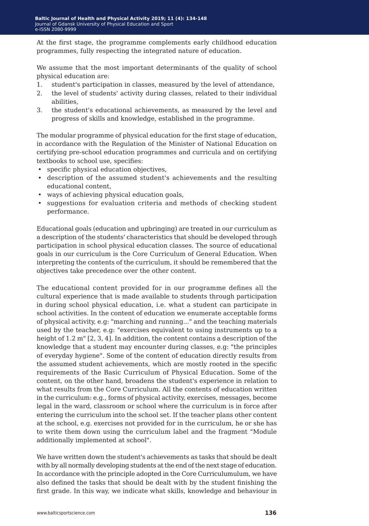At the first stage, the programme complements early childhood education programmes, fully respecting the integrated nature of education.

We assume that the most important determinants of the quality of school physical education are:

- 1. student's participation in classes, measured by the level of attendance,
- 2. the level of students' activity during classes, related to their individual abilities,
- 3. the student's educational achievements, as measured by the level and progress of skills and knowledge, established in the programme.

The modular programme of physical education for the first stage of education, in accordance with the Regulation of the Minister of National Education on certifying pre-school education programmes and curricula and on certifying textbooks to school use, specifies:

- specific physical education objectives,
- description of the assumed student's achievements and the resulting educational content,
- ways of achieving physical education goals,
- suggestions for evaluation criteria and methods of checking student performance.

Educational goals (education and upbringing) are treated in our curriculum as a description of the students' characteristics that should be developed through participation in school physical education classes. The source of educational goals in our curriculum is the Core Curriculum of General Education. When interpreting the contents of the curriculum, it should be remembered that the objectives take precedence over the other content.

The educational content provided for in our programme defines all the cultural experience that is made available to students through participation in during school physical education, i.e. what a student can participate in school activities. In the content of education we enumerate acceptable forms of physical activity, e.g: "marching and running..." and the teaching materials used by the teacher, e.g: "exercises equivalent to using instruments up to a height of 1.2 m" [2, 3, 4]. In addition, the content contains a description of the knowledge that a student may encounter during classes, e.g: "the principles of everyday hygiene". Some of the content of education directly results from the assumed student achievements, which are mostly rooted in the specific requirements of the Basic Curriculum of Physical Education. Some of the content, on the other hand, broadens the student's experience in relation to what results from the Core Curriculum. All the contents of education written in the curriculum: e.g., forms of physical activity, exercises, messages, become legal in the ward, classroom or school where the curriculum is in force after entering the curriculum into the school set. If the teacher plans other content at the school, e.g. exercises not provided for in the curriculum, he or she has to write them down using the curriculum label and the fragment "Module additionally implemented at school".

We have written down the student's achievements as tasks that should be dealt with by all normally developing students at the end of the next stage of education. In accordance with the principle adopted in the Core Curriculumulum, we have also defined the tasks that should be dealt with by the student finishing the first grade. In this way, we indicate what skills, knowledge and behaviour in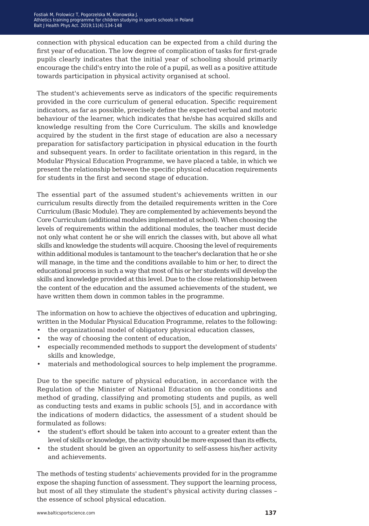connection with physical education can be expected from a child during the first year of education. The low degree of complication of tasks for first-grade pupils clearly indicates that the initial year of schooling should primarily encourage the child's entry into the role of a pupil, as well as a positive attitude towards participation in physical activity organised at school.

The student's achievements serve as indicators of the specific requirements provided in the core curriculum of general education. Specific requirement indicators, as far as possible, precisely define the expected verbal and motoric behaviour of the learner, which indicates that he/she has acquired skills and knowledge resulting from the Core Curriculum. The skills and knowledge acquired by the student in the first stage of education are also a necessary preparation for satisfactory participation in physical education in the fourth and subsequent years. In order to facilitate orientation in this regard, in the Modular Physical Education Programme, we have placed a table, in which we present the relationship between the specific physical education requirements for students in the first and second stage of education.

The essential part of the assumed student's achievements written in our curriculum results directly from the detailed requirements written in the Core Curriculum (Basic Module). They are complemented by achievements beyond the Core Curriculum (additional modules implemented at school). When choosing the levels of requirements within the additional modules, the teacher must decide not only what content he or she will enrich the classes with, but above all what skills and knowledge the students will acquire. Choosing the level of requirements within additional modules is tantamount to the teacher's declaration that he or she will manage, in the time and the conditions available to him or her, to direct the educational process in such a way that most of his or her students will develop the skills and knowledge provided at this level. Due to the close relationship between the content of the education and the assumed achievements of the student, we have written them down in common tables in the programme.

The information on how to achieve the objectives of education and upbringing, written in the Modular Physical Education Programme, relates to the following:

- the organizational model of obligatory physical education classes,
- the way of choosing the content of education,
- especially recommended methods to support the development of students' skills and knowledge,
- materials and methodological sources to help implement the programme.

Due to the specific nature of physical education, in accordance with the Regulation of the Minister of National Education on the conditions and method of grading, classifying and promoting students and pupils, as well as conducting tests and exams in public schools [5], and in accordance with the indications of modern didactics, the assessment of a student should be formulated as follows:

- the student's effort should be taken into account to a greater extent than the level of skills or knowledge, the activity should be more exposed than its effects,
- the student should be given an opportunity to self-assess his/her activity and achievements.

The methods of testing students' achievements provided for in the programme expose the shaping function of assessment. They support the learning process, but most of all they stimulate the student's physical activity during classes – the essence of school physical education.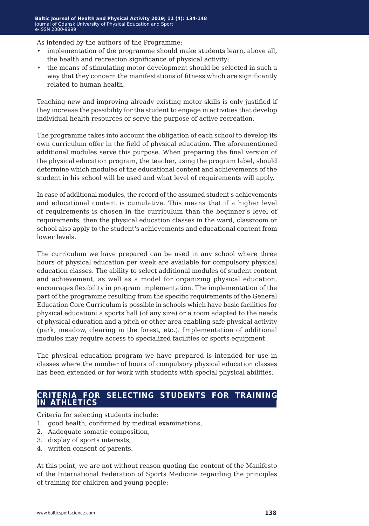As intended by the authors of the Programme:

- implementation of the programme should make students learn, above all, the health and recreation significance of physical activity;
- the means of stimulating motor development should be selected in such a way that they concern the manifestations of fitness which are significantly related to human health.

Teaching new and improving already existing motor skills is only justified if they increase the possibility for the student to engage in activities that develop individual health resources or serve the purpose of active recreation.

The programme takes into account the obligation of each school to develop its own curriculum offer in the field of physical education. The aforementioned additional modules serve this purpose. When preparing the final version of the physical education program, the teacher, using the program label, should determine which modules of the educational content and achievements of the student in his school will be used and what level of requirements will apply.

In case of additional modules, the record of the assumed student's achievements and educational content is cumulative. This means that if a higher level of requirements is chosen in the curriculum than the beginner's level of requirements, then the physical education classes in the ward, classroom or school also apply to the student's achievements and educational content from lower levels.

The curriculum we have prepared can be used in any school where three hours of physical education per week are available for compulsory physical education classes. The ability to select additional modules of student content and achievement, as well as a model for organizing physical education, encourages flexibility in program implementation. The implementation of the part of the programme resulting from the specific requirements of the General Education Core Curriculum is possible in schools which have basic facilities for physical education: a sports hall (of any size) or a room adapted to the needs of physical education and a pitch or other area enabling safe physical activity (park, meadow, clearing in the forest, etc.). Implementation of additional modules may require access to specialized facilities or sports equipment.

The physical education program we have prepared is intended for use in classes where the number of hours of compulsory physical education classes has been extended or for work with students with special physical abilities.

# **criteria for selecting students for training in athletics**

Criteria for selecting students include:

- 1. good health, confirmed by medical examinations,
- 2. Aadequate somatic composition,
- 3. display of sports interests,
- 4. written consent of parents.

At this point, we are not without reason quoting the content of the Manifesto of the International Federation of Sports Medicine regarding the principles of training for children and young people: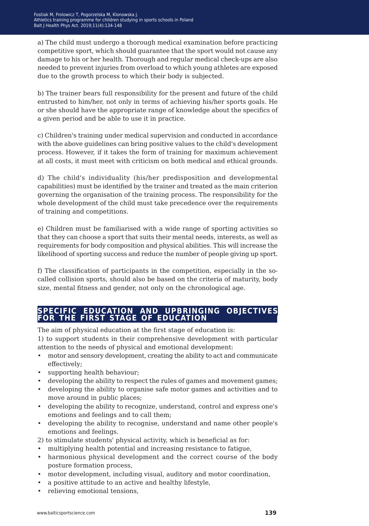a) The child must undergo a thorough medical examination before practicing competitive sport, which should guarantee that the sport would not cause any damage to his or her health. Thorough and regular medical check-ups are also needed to prevent injuries from overload to which young athletes are exposed due to the growth process to which their body is subjected.

b) The trainer bears full responsibility for the present and future of the child entrusted to him/her, not only in terms of achieving his/her sports goals. He or she should have the appropriate range of knowledge about the specifics of a given period and be able to use it in practice.

c) Children's training under medical supervision and conducted in accordance with the above guidelines can bring positive values to the child's development process. However, if it takes the form of training for maximum achievement at all costs, it must meet with criticism on both medical and ethical grounds.

d) The child's individuality (his/her predisposition and developmental capabilities) must be identified by the trainer and treated as the main criterion governing the organisation of the training process. The responsibility for the whole development of the child must take precedence over the requirements of training and competitions.

e) Children must be familiarised with a wide range of sporting activities so that they can choose a sport that suits their mental needs, interests, as well as requirements for body composition and physical abilities. This will increase the likelihood of sporting success and reduce the number of people giving up sport.

f) The classification of participants in the competition, especially in the socalled collision sports, should also be based on the criteria of maturity, body size, mental fitness and gender, not only on the chronological age.

# **specific education and upbringing objectives for the first stage of education**

The aim of physical education at the first stage of education is:

1) to support students in their comprehensive development with particular attention to the needs of physical and emotional development:

- motor and sensory development, creating the ability to act and communicate effectively;
- supporting health behaviour;
- developing the ability to respect the rules of games and movement games;
- developing the ability to organise safe motor games and activities and to move around in public places;
- developing the ability to recognize, understand, control and express one's emotions and feelings and to call them;
- developing the ability to recognise, understand and name other people's emotions and feelings.
- 2) to stimulate students' physical activity, which is beneficial as for:
- multiplying health potential and increasing resistance to fatigue,
- harmonious physical development and the correct course of the body posture formation process,
- motor development, including visual, auditory and motor coordination,
- a positive attitude to an active and healthy lifestyle,
- relieving emotional tensions,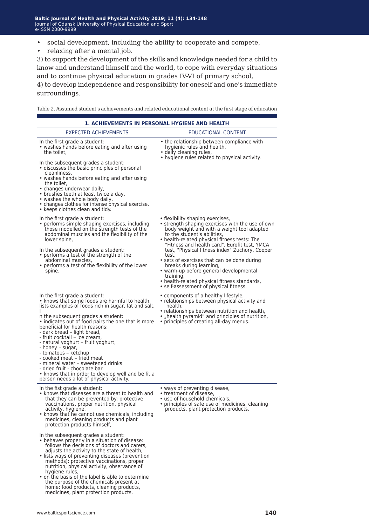- social development, including the ability to cooperate and compete,
- relaxing after a mental job.

3) to support the development of the skills and knowledge needed for a child to know and understand himself and the world, to cope with everyday situations and to continue physical education in grades IV-VI of primary school,

4) to develop independence and responsibility for oneself and one's immediate surroundings.

Table 2. Assumed student's achievements and related educational content at the first stage of education

| <b>1. ACHIEVEMENTS IN PERSONAL HYGIENE AND HEALTH</b>                                                                                                                                                                                                                                                                                                                                                                                                                                           |                                                                                                                                                                                                                   |  |  |  |
|-------------------------------------------------------------------------------------------------------------------------------------------------------------------------------------------------------------------------------------------------------------------------------------------------------------------------------------------------------------------------------------------------------------------------------------------------------------------------------------------------|-------------------------------------------------------------------------------------------------------------------------------------------------------------------------------------------------------------------|--|--|--|
| <b>EXPECTED ACHIEVEMENTS</b>                                                                                                                                                                                                                                                                                                                                                                                                                                                                    | EDUCATIONAL CONTENT                                                                                                                                                                                               |  |  |  |
| In the first grade a student:<br>• washes hands before eating and after using<br>the toilet,                                                                                                                                                                                                                                                                                                                                                                                                    | • the relationship between compliance with<br>hygienic rules and health,<br>· daily cleaning rules,<br>• hygiene rules related to physical activity.                                                              |  |  |  |
| In the subsequent grades a student:<br>• discusses the basic principles of personal<br>cleanliness,<br>• washes hands before eating and after using<br>the toilet,<br>• changes underwear daily,<br>• brushes teeth at least twice a day,<br>• washes the whole body daily,<br>• changes clothes for intense physical exercise,<br>• keeps clothes clean and tidy.                                                                                                                              |                                                                                                                                                                                                                   |  |  |  |
| In the first grade a student:<br>• performs simple shaping exercises, including<br>those modelled on the strength tests of the<br>abdominal muscles and the flexibility of the<br>lower spine,                                                                                                                                                                                                                                                                                                  | • flexibility shaping exercises,<br>• strength shaping exercises with the use of own<br>body weight and with a weight tool adapted<br>to the student's abilities,<br>• health-related physical fitness tests: The |  |  |  |
| In the subsequent grades a student:<br>• performs a test of the strength of the<br>abdominal muscles,<br>• performs a test of the flexibility of the lower                                                                                                                                                                                                                                                                                                                                      | "Fitness and health card", Eurofit test, YMCA<br>test, "Physical fitness index" Zuchory, Cooper<br>test,<br>• sets of exercises that can be done during<br>breaks during learning,                                |  |  |  |
| spine.                                                                                                                                                                                                                                                                                                                                                                                                                                                                                          | · warm-up before general developmental<br>training,<br>• health-related physical fitness standards,<br>• self-assessment of physical fitness.                                                                     |  |  |  |
| In the first grade a student:<br>• knows that some foods are harmful to health,<br>lists examples of foods rich in sugar, fat and salt,                                                                                                                                                                                                                                                                                                                                                         | • components of a healthy lifestyle,<br>• relationships between physical activity and<br>health.<br>• relationships between nutrition and health,                                                                 |  |  |  |
| n the subsequent grades a student:<br>• indicates out of food pairs the one that is more<br>beneficial for health reasons:<br>- dark bread – light bread,<br>- fruit cocktail - ice cream,<br>- natural yoghurt – fruit yoghurt,<br>- honey – sugar,<br>- tomatoes – ketchup<br>- cooked meat – fried meat<br>- mineral water – sweetened drinks<br>- dried fruit - chocolate bar<br>• knows that in order to develop well and be fit a<br>person needs a lot of physical activity.             | • "health pyramid" and principles of nutrition,<br>• principles of creating all-day menus.                                                                                                                        |  |  |  |
| In the fist grade a student:<br>• knows that diseases are a threat to health and<br>that they can be prevented by: protective<br>vaccinations, proper nutrition, physical<br>activity, hygiene,<br>• knows that he cannot use chemicals, including<br>medicines, cleaning products and plant<br>protection products himself,                                                                                                                                                                    | • ways of preventing disease,<br>• treatment of disease,<br>• use of household chemicals,<br>• principles of safe use of medicines, cleaning<br>products, plant protection products.                              |  |  |  |
| In the subsequent grades a student:<br>• behaves properly in a situation of disease:<br>follows the decisions of doctors and carers,<br>adjusts the activity to the state of health,<br>· lists ways of preventing diseases (prevention<br>methods): protective vaccinations, proper<br>nutrition, physical activity, observance of<br>hygiene rules,<br>• on the basis of the label is able to determine<br>the purpose of the chemicals present at<br>home: food products, cleaning products, |                                                                                                                                                                                                                   |  |  |  |

medicines, plant protection products.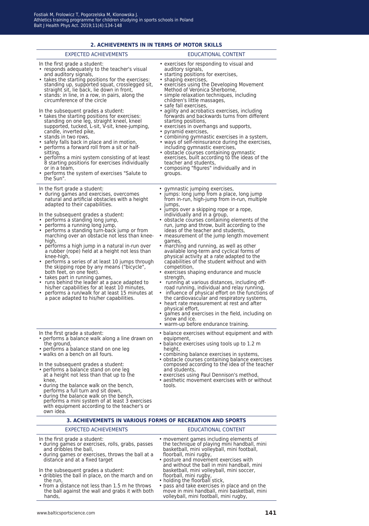|                                                                                                                                                                                                                                                                                                                                                                                                                                                                                                                                                                                                                                                                                                                                                                                                                                                                                             | 2. ACHIEVEMENTS IN IN TERMS OF MOTOR SKILLS                                                                                                                                                                                                                                                                                                                                                                                                                                                                                                                                                                                                                                                                                                                                                                                                                                  |
|---------------------------------------------------------------------------------------------------------------------------------------------------------------------------------------------------------------------------------------------------------------------------------------------------------------------------------------------------------------------------------------------------------------------------------------------------------------------------------------------------------------------------------------------------------------------------------------------------------------------------------------------------------------------------------------------------------------------------------------------------------------------------------------------------------------------------------------------------------------------------------------------|------------------------------------------------------------------------------------------------------------------------------------------------------------------------------------------------------------------------------------------------------------------------------------------------------------------------------------------------------------------------------------------------------------------------------------------------------------------------------------------------------------------------------------------------------------------------------------------------------------------------------------------------------------------------------------------------------------------------------------------------------------------------------------------------------------------------------------------------------------------------------|
| <b>EXPECTED ACHIEVEMENTS</b>                                                                                                                                                                                                                                                                                                                                                                                                                                                                                                                                                                                                                                                                                                                                                                                                                                                                | EDUCATIONAL CONTENT                                                                                                                                                                                                                                                                                                                                                                                                                                                                                                                                                                                                                                                                                                                                                                                                                                                          |
| In the first grade a student:<br>• responds adequately to the teacher's visual<br>and auditory signals,<br>• takes the starting positions for the exercises:<br>standing up, supported squat, crosslegged sit,<br>straight sit, lie back, lie down in front,<br>• stands: in line, in a row, in pairs, along the<br>circumference of the circle<br>In the subsequent grades a student:<br>• takes the starting positions for exercises:<br>standing on one leg, straight kneel, kneel<br>supported, tucked, L-sit, V-sit, knee-jumping,<br>candle, inverted pike,<br>• stands in two rows,<br>• safely falls back in place and in motion,<br>• performs a forward roll from a sit or half-<br>sitting,<br>• performs a mini system consisting of at least<br>8 starting positions for exercises individually<br>or in a team,<br>• performs the system of exercises "Salute to<br>the Sun". | • exercises for responding to visual and<br>auditory signals,<br>• starting positions for exercises,<br>• shaping exercises,<br>• exercises using the Developing Movement<br>Method of Veronica Sherborne,<br>• simple relaxation techniques, including<br>children's little massages,<br>• safe fall exercises,<br>• agility and acrobatics exercises, including<br>forwards and backwards turns from different<br>starting positions,<br>• exercises in overhangs and supports,<br>• pyramid exercises,<br>• combining gymnastic exercises in a system,<br>• ways of self-reinsurance during the exercises,<br>including gymnastic exercises,<br>• obstacle courses containing gymnastic<br>exercises, built according to the ideas of the<br>teacher and students,<br>• composing "figures" individually and in<br>groups.                                                |
| In the fisrt grade a student:<br>· during games and exercises, overcomes<br>natural and artificial obstacles with a height<br>adapted to their capabilities.                                                                                                                                                                                                                                                                                                                                                                                                                                                                                                                                                                                                                                                                                                                                | • gymnastic jumping exercises,<br>• jumps: long jump from a place, long jump<br>from in-run, high-jump from in-run, multiple<br>jumps,<br>• jumps over a skipping rope or a rope,                                                                                                                                                                                                                                                                                                                                                                                                                                                                                                                                                                                                                                                                                            |
| In the subsequent grades a student:<br>• performs a standing long jump,<br>• performs a running long jump,<br>• performs a standing turn-back jump or from<br>marching over an obstacle not less than knee-<br>high,<br>• performs a high jump in a natural in-run over<br>a rubber (rope) held at a height not less than<br>knee-high,<br>• performs a series of at least 10 jumps through<br>the skipping rope by any means ("bicycle",<br>both feet, on one feet).<br>• takes part in running games,<br>• runs behind the leader at a pace adapted to<br>his/her capabilities for at least 10 minutes,<br>• performs a run/walk for at least 15 minutes at<br>a pace adapted to his/her capabilities.                                                                                                                                                                                    | individually and in a group,<br>• obstacle courses containing elements of the<br>run, jump and throw, built according to the<br>ideas of the teacher and students,<br>• measurement of the jump length movement<br>games,<br>• marching and running, as well as other<br>available long-term and cyclical forms of<br>physical activity at a rate adapted to the<br>capabilities of the student without and with<br>competition,<br>• exercises shaping endurance and muscle<br>strength,<br>• running at various distances, including off-<br>road running, individual and relay running,<br>influence of physical effort on the functions of<br>the cardiovascular and respiratory systems,<br>• heart rate measurement at rest and after<br>physical effort,<br>• games and exercises in the field, including on<br>snow and ice.<br>• warm-up before endurance training. |
| In the first grade a student:<br>• performs a balance walk along a line drawn on<br>the ground,<br>• performs a balance stand on one leg<br>• walks on a bench on all fours.<br>In the subsequent grades a student:<br>• performs a balance stand on one leg<br>at a height not less than that up to the<br>knee,<br>• during the balance walk on the bench,<br>performs a full turn and sit down,<br>• during the balance walk on the bench,<br>performs a mini system of at least 3 exercises<br>with equipment according to the teacher's or<br>own idea.                                                                                                                                                                                                                                                                                                                                | • balance exercises without equipment and with<br>equipment,<br>• balance exercises using tools up to 1.2 m<br>height,<br>• combining balance exercises in systems,<br>• obstacle courses containing balance exercises<br>composed according to the idea of the teacher<br>and students,<br>· exercises using Paul Dennison's method,<br>• aesthetic movement exercises with or without<br>tools.                                                                                                                                                                                                                                                                                                                                                                                                                                                                            |
|                                                                                                                                                                                                                                                                                                                                                                                                                                                                                                                                                                                                                                                                                                                                                                                                                                                                                             | <b>3. ACHIEVEMENTS IN VARIOUS FORMS OF RECREATION AND SPORTS</b>                                                                                                                                                                                                                                                                                                                                                                                                                                                                                                                                                                                                                                                                                                                                                                                                             |
| <b>EXPECTED ACHIEVEMENTS</b>                                                                                                                                                                                                                                                                                                                                                                                                                                                                                                                                                                                                                                                                                                                                                                                                                                                                | EDUCATIONAL CONTENT                                                                                                                                                                                                                                                                                                                                                                                                                                                                                                                                                                                                                                                                                                                                                                                                                                                          |
| In the first grade a student:<br>• during games or exercises, rolls, grabs, passes<br>and dribbles the ball,<br>• during games or exercises, throws the ball at a<br>distance and at a fixed target                                                                                                                                                                                                                                                                                                                                                                                                                                                                                                                                                                                                                                                                                         | • movement games including elements of<br>the technique of playing mini handball, mini<br>basketball, mini volleyball, mini football,<br>floorball, mini rugby,<br>• posture and movement exercises with                                                                                                                                                                                                                                                                                                                                                                                                                                                                                                                                                                                                                                                                     |

- In the subsequent grades a student:
- dribbles the ball in place, on the march and on the run,
- from a distance not less than 1.5 m he throws the ball against the wall and grabs it with both hands,

and without the ball in mini handball, mini basketball, mini volleyball, mini soccer,

• pass and take exercises in place and on the move in mini handball, mini basketball, mini volleyball, mini football, mini rugby,

floorball, mini rugby, • holding the floorball stick,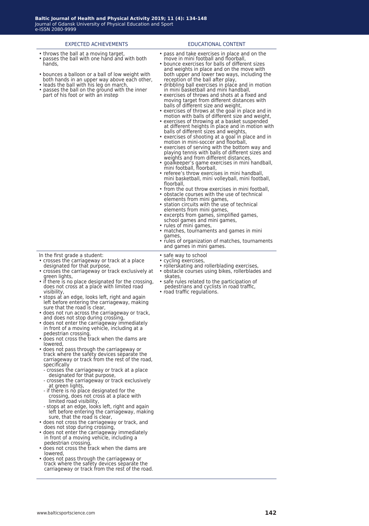# • throws the ball at a moving target, passes the ball with one hand and with both hands, • bounces a balloon or a ball of low weight with

- both hands in an upper way above each other, • leads the ball with his leg on march,
- passes the ball on the ground with the inner part of his foot or with an instep

EXPECTED ACHIEVEMENTS EDUCATIONAL CONTENT

- pass and take exercises in place and on the move in mini football and floorball, • bounce exercises for balls of different sizes
- and weights in place and on the move with both upper and lower two ways, including the reception of the ball after play,
- dribbling ball exercises in place and in motion in mini basketball and mini handball, exercises of throws and shots at a fixed and
- moving target from different distances with balls of different size and weight,
- exercises of throws at the goal in place and in motion with balls of different size and weight,
- exercises of throwing at a basket suspended at different heights in place and in motion with balls of different sizes and weights,
- exercises of shooting at a goal in place and in motion in mini-soccer and floorball,
- exercises of serving with the bottom way and playing tennis with balls of different sizes and weights and from different distances,
- goalkeeper's game exercises in mini handball, mini football, floorball,
- referee's throw exercises in mini handball, mini basketball, mini volleyball, mini football, floorball,
- from the out throw exercises in mini football, • obstacle courses with the use of technical
- elements from mini games, station circuits with the use of technical
- elements from mini games, excerpts from games, simplified games,
- school games and mini games,
- rules of mini games, • matches, tournaments and games in mini games,
- rules of organization of matches, tournaments and games in mini games.
- cycling exercises,
- rollerskating and rollerblading exercises, • obstacle courses using bikes, rollerblades and skates,
- safe rules related to the participation of
- pedestrians and cyclists in road traffic,
- road traffic regulations.
- In the first grade a student:
- crosses the carriageway or track at a place designated for that purpose,
- crosses the carriageway or track exclusively at green lights,
- if there is no place designated for the crossing, does not cross at a place with limited road visibility,
- stops at an edge, looks left, right and again left before entering the carriageway, making sure that the road is clear,
- does not run across the carriageway or track, and does not stop during crossing,
- does not enter the carriageway immediately in front of a moving vehicle, including at a pedestrian crossing,
- does not cross the track when the dams are lowered,
- does not pass through the carriageway or track where the safety devices separate the carriageway or track from the rest of the road, specifically
- crosses the carriageway or track at a place designated for that purpose,
- crosses the carriageway or track exclusively at green lights,
- if there is no place designated for the crossing, does not cross at a place with limited road visibility,
- stops at an edge, looks left, right and again left before entering the carriageway, making sure, that the road is clear,
- does not cross the carriageway or track, and does not stop during crossing,
- does not enter the carriageway immediately in front of a moving vehicle, including a pedestrian crossing,
- does not cross the track when the dams are lowered,
- does not pass through the carriageway or track where the safety devices separate the carriageway or track from the rest of the road.

• safe way to school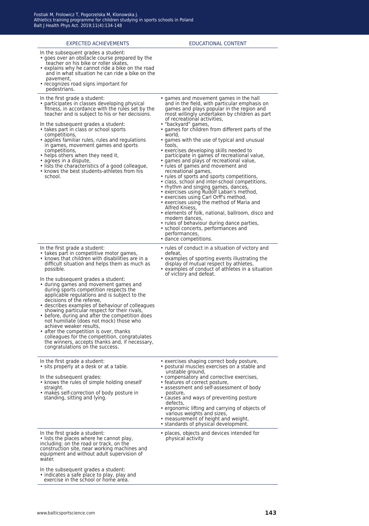| <b>EXPECTED ACHIEVEMENTS</b>                                                                                                                                                                                                                                                                                                                                                                                                                                                                                                                                                                                                                                                                                                                                                                                    | <b>EDUCATIONAL CONTENT</b>                                                                                                                                                                                                                                                                                                                                                                                                                                                                                                                                                                                                                                                                                                                                                                                                                                                                                                                                                                                                                                            |
|-----------------------------------------------------------------------------------------------------------------------------------------------------------------------------------------------------------------------------------------------------------------------------------------------------------------------------------------------------------------------------------------------------------------------------------------------------------------------------------------------------------------------------------------------------------------------------------------------------------------------------------------------------------------------------------------------------------------------------------------------------------------------------------------------------------------|-----------------------------------------------------------------------------------------------------------------------------------------------------------------------------------------------------------------------------------------------------------------------------------------------------------------------------------------------------------------------------------------------------------------------------------------------------------------------------------------------------------------------------------------------------------------------------------------------------------------------------------------------------------------------------------------------------------------------------------------------------------------------------------------------------------------------------------------------------------------------------------------------------------------------------------------------------------------------------------------------------------------------------------------------------------------------|
| In the subsequent grades a student:<br>• goes over an obstacle course prepared by the<br>teacher on his bike or roller skates,<br>• explains why he cannot ride a bike on the road<br>and in what situation he can ride a bike on the<br>pavement,<br>• recognizes road signs important for<br>pedestrians.                                                                                                                                                                                                                                                                                                                                                                                                                                                                                                     |                                                                                                                                                                                                                                                                                                                                                                                                                                                                                                                                                                                                                                                                                                                                                                                                                                                                                                                                                                                                                                                                       |
| In the first grade a student:<br>• participates in classes developing physical<br>fitness, in accordance with the rules set by the<br>teacher and is subject to his or her decisions.<br>In the subsequent grades a student:<br>• takes part in class or school sports<br>competitions,<br>• applies familiar rules, rules and regulations<br>in games, movement games and sports<br>competitions,<br>• helps others when they need it,<br>• agrees in a dispute,<br>• lists the characteristics of a good colleague,<br>• knows the best students-athletes from his<br>school.                                                                                                                                                                                                                                 | • games and movement games in the hall<br>and in the field, with particular emphasis on<br>games and plays popular in the region and<br>most willingly undertaken by children as part<br>of recreational activities,<br>• "backyard" games,<br>• games for children from different parts of the<br>world.<br>• games with the use of typical and unusual<br>tools,<br>• exercises developing skills needed to<br>participate in games of recreational value,<br>• games and plays of recreational value,<br>• rules of games and movement and<br>recreational games,<br>• rules of sports and sports competitions,<br>• class, school and inter-school competitions,<br>• rhythm and singing games, dances,<br>• exercises using Rudolf Laban's method,<br>• exercises using Carl Orff's method,<br>• exercises using the method of Maria and<br>Alfred Kniess,<br>• elements of folk, national, ballroom, disco and<br>modern dances,<br>• rules of behaviour during dance parties,<br>• school concerts, performances and<br>performances,<br>• dance competitions. |
| In the first grade a student:<br>• takes part in competitive motor games,<br>• knows that children with disabilities are in a<br>difficult situation and helps them as much as<br>possible.<br>In the subsequent grades a student:<br>• during games and movement games and<br>during sports competition respects the<br>applicable regulations and is subject to the<br>decisions of the referee,<br>• describes examples of behaviour of colleagues<br>showing particular respect for their rivals,<br>• before, during and after the competition does<br>not humiliate (does not mock) those who<br>achieve weaker results,<br>• after the competition is over, thanks<br>colleagues for the competition, congratulates<br>the winners, accepts thanks and, if necessary,<br>congratulations on the success. | • rules of conduct in a situation of victory and<br>defeat.<br>• examples of sporting events illustrating the<br>display of mutual respect by athletes,<br>• examples of conduct of athletes in a situation<br>of victory and defeat.                                                                                                                                                                                                                                                                                                                                                                                                                                                                                                                                                                                                                                                                                                                                                                                                                                 |
| In the first grade a student:<br>• sits properly at a desk or at a table.<br>In the subsequent grades:<br>• knows the rules of simple holding oneself<br>straight.<br>. makes self-correction of body posture in<br>standing, sitting and lying.                                                                                                                                                                                                                                                                                                                                                                                                                                                                                                                                                                | • exercises shaping correct body posture,<br>• postural muscles exercises on a stable and<br>unstable ground,<br>• compensatory and corrective exercises,<br>• features of correct posture,<br>• assessment and self-assessment of body<br>posture,<br>• causes and ways of preventing posture<br>defects,<br>• ergonomic lifting and carrying of objects of<br>various weights and sizes,<br>• measurement of height and weight,<br>• standards of physical development.                                                                                                                                                                                                                                                                                                                                                                                                                                                                                                                                                                                             |
| In the first grade a student:<br>• lists the places where he cannot play,<br>including: on the road or track, on the<br>construction site, near working machines and<br>equipment and without adult supervision of<br>water.<br>In the subsequent grades a student:<br>· indicates a safe place to play, play and<br>exercise in the school or home area.                                                                                                                                                                                                                                                                                                                                                                                                                                                       | • places, objects and devices intended for<br>physical activity                                                                                                                                                                                                                                                                                                                                                                                                                                                                                                                                                                                                                                                                                                                                                                                                                                                                                                                                                                                                       |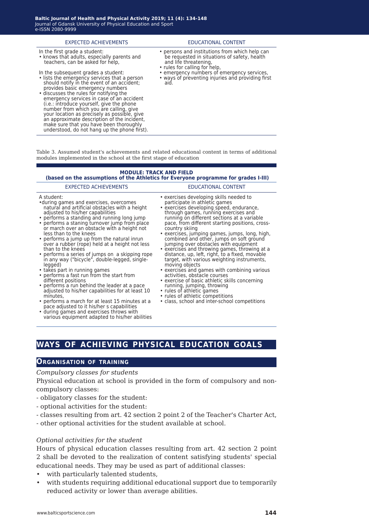| <b>EXPECTED ACHIEVEMENTS</b>                                                                                                                                                                                                                                                                                                                          | EDUCATIONAL CONTENT                                                                                                                                      |
|-------------------------------------------------------------------------------------------------------------------------------------------------------------------------------------------------------------------------------------------------------------------------------------------------------------------------------------------------------|----------------------------------------------------------------------------------------------------------------------------------------------------------|
| In the first grade a student:<br>• knows that adults, especially parents and<br>teachers, can be asked for help,                                                                                                                                                                                                                                      | • persons and institutions from which help can<br>be requested in situations of safety, health<br>and life threatening,<br>• rules for calling for help, |
| In the subsequent grades a student:<br>• lists the emergency services that a person<br>should notify in the event of an accident;<br>provides basic emergency numbers<br>• discusses the rules for notifying the<br>emergency services in case of an accident<br>(i.e.: introduce yourself, give the phone<br>number from which you are calling, give | • emergency numbers of emergency services,<br>• ways of preventing injuries and providing first<br>aid.                                                  |

Table 3. Assumed student's achievements and related educational content in terms of additional modules implemented in the school at the first stage of education

## **MODULE: TRACK AND FIELD**

#### **(based on the assumptions of the Athletics for Everyone programme for grades I-III)**

#### EXPECTED ACHIEVEMENTS EDUCATIONAL CONTENT

your location as precisely as possible, give an approximate description of the incident, make sure that you have been thoroughly understood, do not hang up the phone first).

#### A student:

- •during games and exercises, overcomes natural and artificial obstacles with a height adjusted to his/her capabilities
- performs a standing and running long jump • performs a staning turnover jump from place or march over an obstacle with a height not
- less than to the knees • performs a jump up from the natural inrun over a rubber (rope) held at a height not less than to the knees
- performs a series of jumps on a skipping rope in any way ("bicycle", double-legged, singlelegged)
- takes part in running games
- performs a fast run from the start from different positions
- performs a run behind the leader at a pace adjusted to his/her capabilities for at least 10 minutes,
- performs a march for at least 15 minutes at a pace adjusted to it his/her s capabilities
- during games and exercises throws with various equipment adapted to his/her abilities

- exercises developing skills needed to participate in athletic games
- exercises developing speed, endurance, through games, running exercises and running on different sections at a variable pace, from different starting positions, crosscountry skiing
- exercises, jumping games, jumps, long, high, combined and other, jumps on soft ground jumping over obstacles with equipment
- exercises and throwing games, throwing at a distance, up, left, right, to a fixed, movable target, with various weighting instruments, moving objects
- exercises and games with combining various activities, obstacle courses
- exercise of basic athletic skills concerning running, jumping, throwing
- rules of athletic games
- rules of athletic competitions
- class, school and inter-school competitions

# **ways of achieving physical education goals**

# **Organisation of training**

## *Compulsory classes for students*

Physical education at school is provided in the form of compulsory and noncompulsory classes:

- obligatory classes for the student:
- optional activities for the student:
- classes resulting from art. 42 section 2 point 2 of the Teacher's Charter Act,
- other optional activities for the student available at school.

## *Optional activities for the student*

Hours of physical education classes resulting from art. 42 section 2 point 2 shall be devoted to the realization of content satisfying students' special educational needs. They may be used as part of additional classes:

- with particularly talented students,
- with students requiring additional educational support due to temporarily reduced activity or lower than average abilities.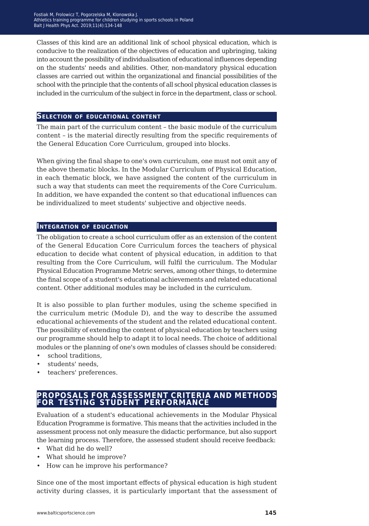Classes of this kind are an additional link of school physical education, which is conducive to the realization of the objectives of education and upbringing, taking into account the possibility of individualisation of educational influences depending on the students' needs and abilities. Other, non-mandatory physical education classes are carried out within the organizational and financial possibilities of the school with the principle that the contents of all school physical education classes is included in the curriculum of the subject in force in the department, class or school.

# **Selection of educational content**

The main part of the curriculum content – the basic module of the curriculum content – is the material directly resulting from the specific requirements of the General Education Core Curriculum, grouped into blocks.

When giving the final shape to one's own curriculum, one must not omit any of the above thematic blocks. In the Modular Curriculum of Physical Education, in each thematic block, we have assigned the content of the curriculum in such a way that students can meet the requirements of the Core Curriculum. In addition, we have expanded the content so that educational influences can be individualized to meet students' subjective and objective needs.

# **Integration of education**

The obligation to create a school curriculum offer as an extension of the content of the General Education Core Curriculum forces the teachers of physical education to decide what content of physical education, in addition to that resulting from the Core Curriculum, will fulfil the curriculum. The Modular Physical Education Programme Metric serves, among other things, to determine the final scope of a student's educational achievements and related educational content. Other additional modules may be included in the curriculum.

It is also possible to plan further modules, using the scheme specified in the curriculum metric (Module D), and the way to describe the assumed educational achievements of the student and the related educational content. The possibility of extending the content of physical education by teachers using our programme should help to adapt it to local needs. The choice of additional modules or the planning of one's own modules of classes should be considered:

- school traditions,
- students' needs,
- teachers' preferences.

# **proposals for assessment criteria and methods for testing student performance**

Evaluation of a student's educational achievements in the Modular Physical Education Programme is formative. This means that the activities included in the assessment process not only measure the didactic performance, but also support the learning process. Therefore, the assessed student should receive feedback:

- What did he do well?
- What should he improve?
- How can he improve his performance?

Since one of the most important effects of physical education is high student activity during classes, it is particularly important that the assessment of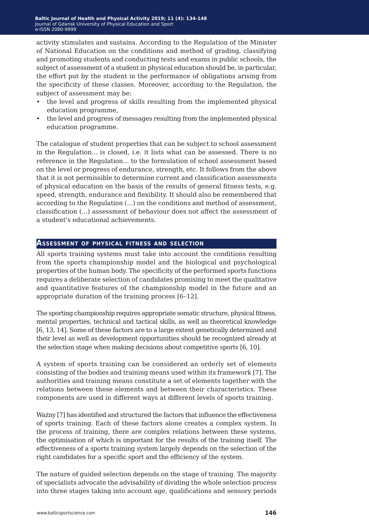activity stimulates and sustains. According to the Regulation of the Minister of National Education on the conditions and method of grading, classifying and promoting students and conducting tests and exams in public schools, the subject of assessment of a student in physical education should be, in particular, the effort put by the student in the performance of obligations arising from the specificity of these classes. Moreover, according to the Regulation, the subject of assessment may be:

- the level and progress of skills resulting from the implemented physical education programme,
- the level and progress of messages resulting from the implemented physical education programme.

The catalogue of student properties that can be subject to school assessment in the Regulation... is closed, i.e. it lists what can be assessed. There is no reference in the Regulation... to the formulation of school assessment based on the level or progress of endurance, strength, etc. It follows from the above that it is not permissible to determine current and classification assessments of physical education on the basis of the results of general fitness tests, e.g. speed, strength, endurance and flexibility. It should also be remembered that according to the Regulation (...) on the conditions and method of assessment, classification (...) assessment of behaviour does not affect the assessment of a student's educational achievements.

# **Assessment of physical fitness and selection**

All sports training systems must take into account the conditions resulting from the sports championship model and the biological and psychological properties of the human body. The specificity of the performed sports functions requires a deliberate selection of candidates promising to meet the qualitative and quantitative features of the championship model in the future and an appropriate duration of the training process [6–12].

The sporting championship requires appropriate somatic structure, physical fitness, mental properties, technical and tactical skills, as well as theoretical knowledge [6, 13, 14]. Some of these factors are to a large extent genetically determined and their level as well as development opportunities should be recognized already at the selection stage when making decisions about competitive sports [6, 10].

A system of sports training can be considered an orderly set of elements consisting of the bodies and training means used within its framework [7]. The authorities and training means constitute a set of elements together with the relations between these elements and between their characteristics. These components are used in different ways at different levels of sports training.

Ważny [7] has identified and structured the factors that influence the effectiveness of sports training. Each of these factors alone creates a complex system. In the process of training, there are complex relations between these systems, the optimisation of which is important for the results of the training itself. The effectiveness of a sports training system largely depends on the selection of the right candidates for a specific sport and the efficiency of the system.

The nature of guided selection depends on the stage of training. The majority of specialists advocate the advisability of dividing the whole selection process into three stages taking into account age, qualifications and sensory periods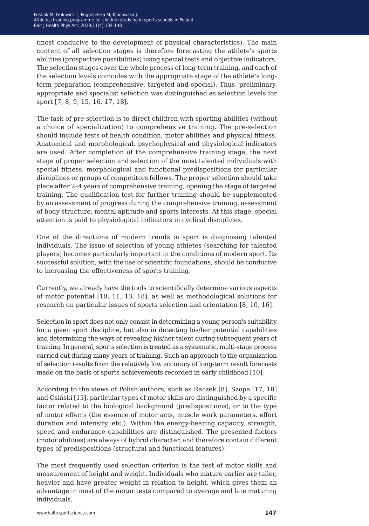(most conducive to the development of physical characteristics). The main content of all selection stages is therefore forecasting the athlete's sports abilities (prospective possibilities) using special tests and objective indicators. The selection stages cover the whole process of long-term training, and each of the selection levels coincides with the appropriate stage of the athlete's longterm preparation (comprehensive, targeted and special). Thus, preliminary, appropriate and specialist selection was distinguished as selection levels for sport [7, 8, 9, 15, 16, 17, 18].

The task of pre-selection is to direct children with sporting abilities (without a choice of specialization) to comprehensive training. The pre-selection should include tests of health condition, motor abilities and physical fitness. Anatomical and morphological, psychophysical and physiological indicators are used. After completion of the comprehensive training stage, the next stage of proper selection and selection of the most talented individuals with special fitness, morphological and functional predispositions for particular disciplines or groups of competitors follows. The proper selection should take place after 2–4 years of comprehensive training, opening the stage of targeted training. The qualification test for further training should be supplemented by an assessment of progress during the comprehensive training, assessment of body structure, mental aptitude and sports interests. At this stage, special attention is paid to physiological indicators in cyclical disciplines.

One of the directions of modern trends in sport is diagnosing talented individuals. The issue of selection of young athletes (searching for talented players) becomes particularly important in the conditions of modern sport. Its successful solution, with the use of scientific foundations, should be conducive to increasing the effectiveness of sports training.

Currently, we already have the tools to scientifically determine various aspects of motor potential [10, 11, 13, 18], as well as methodological solutions for research on particular issues of sports selection and orientation [8, 10, 16].

Selection in sport does not only consist in determining a young person's suitability for a given sport discipline, but also in detecting his/her potential capabilities and determining the ways of revealing his/her talent during subsequent years of training. In general, sports selection is treated as a systematic, multi-stage process carried out during many years of training. Such an approach to the organization of selection results from the relatively low accuracy of long-term result forecasts made on the basis of sports achievements recorded in early childhood [10].

According to the views of Polish authors, such as Raczek [8], Szopa [17, 18] and Osiński [13], particular types of motor skills are distinguished by a specific factor related to the biological background (predispositions), or to the type of motor effects (the essence of motor acts, muscle work parameters, effort duration and intensity, etc.). Within the energy-bearing capacity, strength, speed and endurance capabilities are distinguished. The presented factors (motor abilities) are always of hybrid character, and therefore contain different types of predispositions (structural and functional features).

The most frequently used selection criterion is the test of motor skills and measurement of height and weight. Individuals who mature earlier are taller, heavier and have greater weight in relation to height, which gives them an advantage in most of the motor tests compared to average and late maturing individuals.